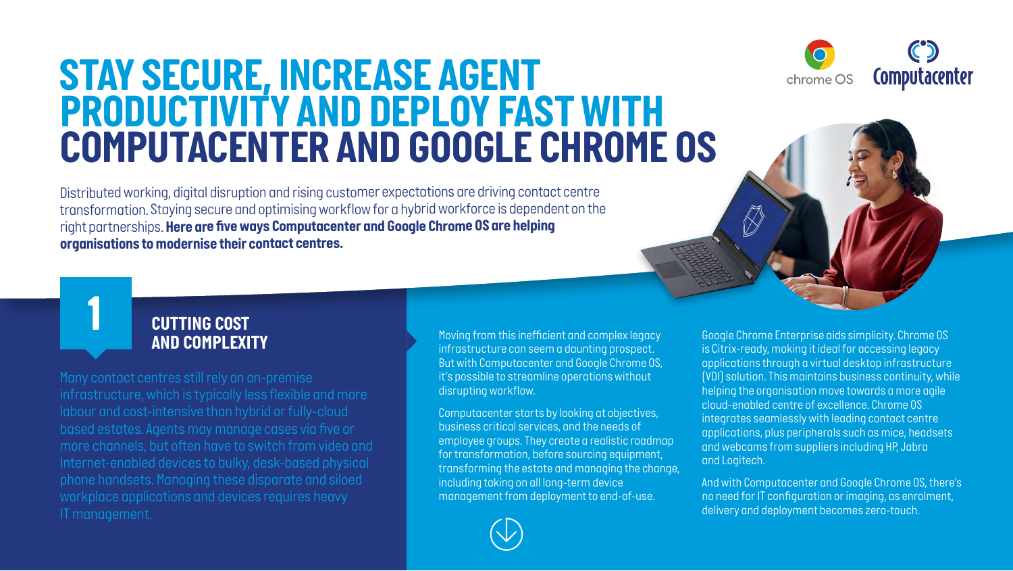## <span id="page-0-0"></span>**STAY SECURE, INCREASE AGENT** *PRODUCTIVITY AND DEPLOY FAST WITH COMPUTACENTER AND GOOGLE CHROME OS*

*Distributed working, digital disruption and rising customer expectations are driving contact centre transformation. Staying secure and optimising workflow for a hybrid workforce is dependent on the right partnerships. Here are five ways Computacenter and Google Chrome OS are helping organisations to modernise their contact centres.* 



*Google Chrome Enterprise aids simplicity. Chrome OS is Citrix-ready, making it ideal for accessing legacy applications through a virtual desktop infrastructure (VDI) solution. This maintains business continuity, while helping the organisation move towards a more agile cloud-enabled centre of excellence. Chrome OS integrates seamlessly with leading contact centre applications, plus peripherals such as mice, headsets and webcams from suppliers including HP, Jabra and Logitech.*

*And with Computacenter and Google Chrome OS, there's no need for IT configuration or imaging, as enrolment, delivery and deployment becomes zero-touch.* 

### *CUTTING COST AND COMPLEXITY*

*1*

*Many contact centres still rely on on-premise more channels, but often have to switch from video and*  *Moving from this inefficient and complex legacy infrastructure can seem a daunting prospect. But with Computacenter and Google Chrome OS, it's possible to streamline operations without disrupting workflow.* 

*Computacenter starts by looking at objectives, business critical services, and the needs of employee groups. They create a realistic roadmap for transformation, before sourcing equipment, transforming the estate and managing the change, including taking on all long-term device management from deployment to end-of-use.* 

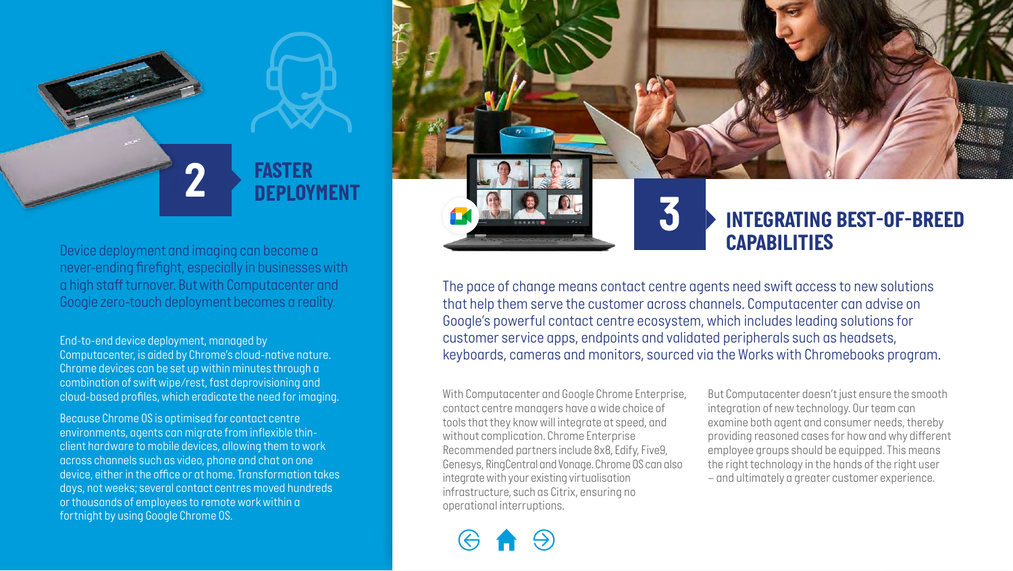# *2 FASTER DEPLOYMENT*

*Device deployment and imaging can become a never-ending firefight, especially in businesses with a high staff turnover. But with Computacenter and Google zero-touch deployment becomes a reality.* 

*End-to-end device deployment, managed by Computacenter, is aided by Chrome's cloud-native nature. Chrome devices can be set up within minutes through a combination of swift wipe/rest, fast deprovisioning and cloud-based profiles, which eradicate the need for imaging.* 

*Because Chrome OS is optimised for contact centre environments, agents can migrate from inflexible thinclient hardware to mobile devices, allowing them to work across channels such as video, phone and chat on one device, either in the office or at home. Transformation takes days, not weeks; several contact centres moved hundreds or thousands of employees to remote work within a fortnight by using Google Chrome OS.*

*The pace of change means contact centre agents need swift access to new solutions that help them serve the customer across channels. Computacenter can advise on Google's powerful contact centre ecosystem, which includes leading solutions for customer service apps, endpoints and validated peripherals such as headsets, keyboards, cameras and monitors, sourced via the Works with Chromebooks program.* 

*With Computacenter and Google Chrome Enterprise, contact centre managers have a wide choice of tools that they know will integrate at speed, and without complication. Chrome Enterprise Recommended partners include 8x8, Edify, Five9, Genesys, RingCentral and Vonage. Chrome OS can also integrate with your existing virtualisation infrastructure, such as Citrix, ensuring no [operational interr](#page-0-0)[uptions.](#page-2-0)*

*But Computacenter doesn't just ensure the smooth integration of new technology. Our team can examine both agent and consumer needs, thereby providing reasoned cases for how and why different employee groups should be equipped. This means the right technology in the hands of the right user – and ultimately a greater customer experience.* 

*3 INTEGRATING BEST-OF-BREED* 

*CAPABILITIES*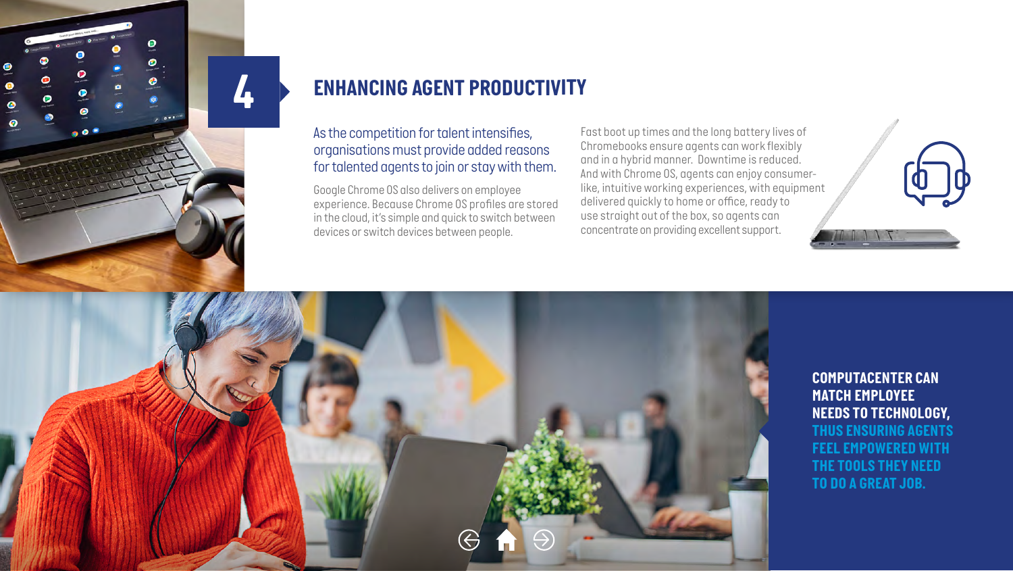<span id="page-2-0"></span>

## *4 ENHANCING AGENT PRODUCTIVITY*

#### *As the competition for talent intensifies, organisations must provide added reasons for talented agents to join or stay with them.*

*Google Chrome OS also delivers on employee experience. Because Chrome OS profiles are stored in the cloud, it's simple and quick to switch between devices or switch devices between people.* 

*Fast boot up times and the long battery lives of Chromebooks ensure agents can work flexibly and in a hybrid manner. Downtime is reduced. And with Chrome OS, agents can enjoy consumerlike, intuitive working experiences, with equipment delivered quickly to home or office, ready to use straight out of the box, so agents can concentrate on providing excellent support.* 

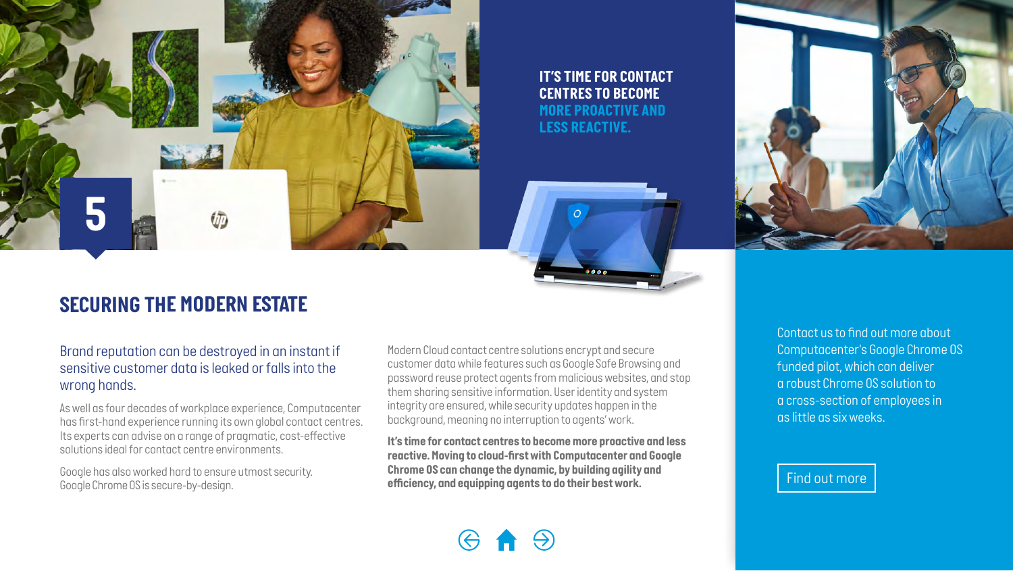

*IT'S TIME FOR CONTACT CENTRES TO BECOME MORE PROACTIVE AND LESS REACTIVE.* 



### *SECURING THE MODERN ESTATE*

*Brand reputation can be destroyed in an instant if sensitive customer data is leaked or falls into the wrong hands.* 

*As well as four decades of workplace experience, Computacenter has first-hand experience running its own global contact centres. Its experts can advise on a range of pragmatic, cost-effective solutions ideal for contact centre environments.*

*Google has also worked hard to ensure utmost security. Google Chrome OS is secure-by-design.* 

*Modern Cloud contact centre solutions encrypt and secure customer data while features such as Google Safe Browsing and password reuse protect agents from malicious websites, and stop them sharing sensitive information. User identity and system integrity are ensured, while security updates happen in the background, meaning no interruption to agents' work.* 

*It's time for contact centres to become more proactive and less reactive. Moving to cloud-first with Computacenter and Google Chrome OS can change the dynamic, by building agility and efficiency, and equipping agents to do their best work.*

*Contact us to find out more about Computacenter's Google Chrome OS funded pilot, which can deliver a robust Chrome OS solution to a cross-section of employees in as little as six weeks.*

#### *Find out more*